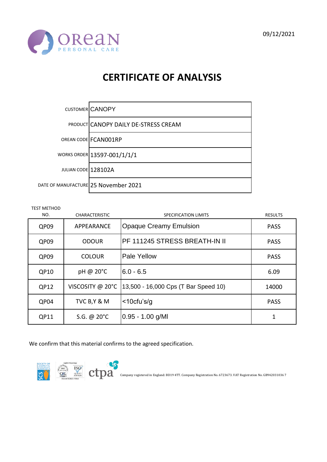



|                     | CUSTOMER CANOPY                             |
|---------------------|---------------------------------------------|
|                     | <b>PRODUCT CANOPY DAILY DE-STRESS CREAM</b> |
|                     | OREAN CODE FCANO01RP                        |
|                     | WORKS ORDER 13597-001/1/1/1                 |
| JULIAN CODE 128102A |                                             |
|                     | DATE OF MANUFACTURE 25 November 2021        |

TEST METHOD

| NO.  | <b>CHARACTERISTIC</b> | SPECIFICATION LIMITS                 | <b>RESULTS</b> |
|------|-----------------------|--------------------------------------|----------------|
| QP09 | APPEARANCE            | <b>Opaque Creamy Emulsion</b>        | <b>PASS</b>    |
| QP09 | <b>ODOUR</b>          | PF 111245 STRESS BREATH-IN II        | <b>PASS</b>    |
| QP09 | <b>COLOUR</b>         | Pale Yellow                          | <b>PASS</b>    |
| QP10 | pH @ 20°C             | $6.0 - 6.5$                          | 6.09           |
| QP12 | VISCOSITY @ 20°C      | 13,500 - 16,000 Cps (T Bar Speed 10) | 14000          |
| QP04 | TVC B, Y & M          | $<$ 10cfu's/g                        | <b>PASS</b>    |
| QP11 | S.G. @ $20^{\circ}$ C | $0.95 - 1.00$ g/MI                   | 1              |

We confirm that this material confirms to the agreed specification.

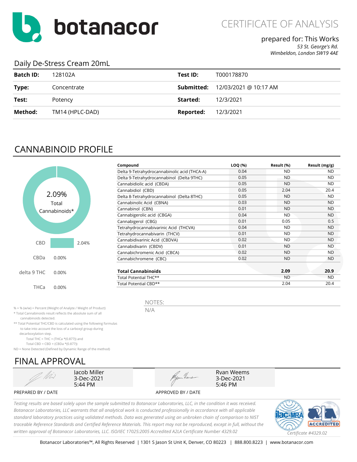

### prepared for: This Works

*53 St. George's Rd. Wimbeldon, London SW19 4AE*

#### Daily De-Stress Cream 20mL

| <b>Batch ID:</b> | 128102A         | Test ID:  | T000178870                              |
|------------------|-----------------|-----------|-----------------------------------------|
| Type:            | Concentrate     |           | <b>Submitted:</b> 12/03/2021 @ 10:17 AM |
| Test:            | Potency         | Started:  | 12/3/2021                               |
| Method:          | TM14 (HPLC-DAD) | Reported: | 12/3/2021                               |

## CANNABINOID PROFILE



| Compound                                     | LOQ (%) | Result (%) | Result (mg/g) |
|----------------------------------------------|---------|------------|---------------|
| Delta 9-Tetrahydrocannabinolic acid (THCA-A) | 0.04    | <b>ND</b>  | <b>ND</b>     |
| Delta 9-Tetrahydrocannabinol (Delta 9THC)    | 0.05    | <b>ND</b>  | <b>ND</b>     |
| Cannabidiolic acid (CBDA)                    | 0.05    | <b>ND</b>  | <b>ND</b>     |
| Cannabidiol (CBD)                            | 0.05    | 2.04       | 20.4          |
| Delta 8-Tetrahydrocannabinol (Delta 8THC)    | 0.05    | <b>ND</b>  | <b>ND</b>     |
| Cannabinolic Acid (CBNA)                     | 0.03    | <b>ND</b>  | <b>ND</b>     |
| Cannabinol (CBN)                             | 0.01    | <b>ND</b>  | <b>ND</b>     |
| Cannabigerolic acid (CBGA)                   | 0.04    | <b>ND</b>  | <b>ND</b>     |
| Cannabigerol (CBG)                           | 0.01    | 0.05       | 0.5           |
| Tetrahydrocannabivarinic Acid (THCVA)        | 0.04    | <b>ND</b>  | <b>ND</b>     |
| Tetrahydrocannabivarin (THCV)                | 0.01    | <b>ND</b>  | <b>ND</b>     |
| Cannabidivarinic Acid (CBDVA)                | 0.02    | <b>ND</b>  | <b>ND</b>     |
| Cannabidivarin (CBDV)                        | 0.01    | <b>ND</b>  | <b>ND</b>     |
| Cannabichromenic Acid (CBCA)                 | 0.02    | <b>ND</b>  | ND.           |
| Cannabichromene (CBC)                        | 0.02    | <b>ND</b>  | <b>ND</b>     |
| <b>Total Cannabinoids</b>                    |         | 2.09       | 20.9          |
| Total Potential THC**                        |         | <b>ND</b>  | <b>ND</b>     |
| Total Potential CBD**                        |         | 2.04       | 20.4          |

Ryan Weems 3-Dec-2021 5:46 PM

% = % (w/w) = Percent (Weight of Analyte / Weight of Product)

\* Total Cannabinoids result reflects the absolute sum of all

 cannabinoids detected. \*\* Total Potential THC/CBD is calculated using the following formulas

to take into account the loss of a carboxyl group during

decarboxylation step.

Total THC = THC + (THCa  $*(0.877)$ ) and Total CBD = CBD + (CBDa \*(0.877))

ND = None Detected (Defined by Dynamic Range of the method)

# FINAL APPROVAL



Jacob Miller 3-Dec-2021 5:44 PM



PREPARED BY / DATE APPROVED BY / DATE

*Testing results are based solely upon the sample submitted to Botanacor Laboratories, LLC, in the condition it was received. Botanacor Laboratories, LLC warrants that all analytical work is conducted professionally in accordance with all applicable standard laboratory practices using validated methods. Data was generated using an unbroken chain of comparison to NIST traceable Reference Standards and Certified Reference Materials. This report may not be reproduced, except in full, without the written approval of Botanacor Laboratories, LLC. ISO/IEC 17025:2005 Accredited A2LA Certificate Number 4329.02 Certificate #4329.02*



NOTES: N/A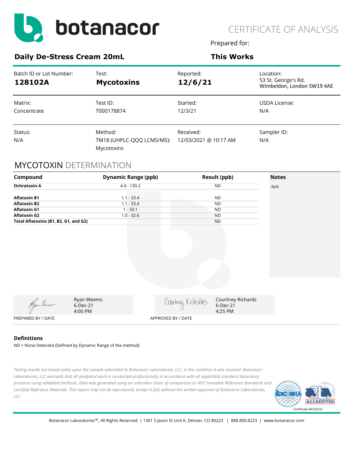

Prepared for:

#### **Daily De-Stress Cream 20mL This Works**

| Batch ID or Lot Number:<br>128102A | Test:<br><b>Mycotoxins</b>                         | Reported:<br>12/6/21               | Location:<br>53 St. George's Rd.<br>Wimbeldon, London SW19 4AE |
|------------------------------------|----------------------------------------------------|------------------------------------|----------------------------------------------------------------|
| Matrix:<br>Concentrate             | Test ID:<br>T000178874                             | Started:<br>12/3/21                | USDA License:<br>N/A                                           |
| Status:<br>N/A                     | Method:<br>TM18 (UHPLC-QQQ LCMS/MS):<br>Mycotoxins | Received:<br>12/03/2021 @ 10:17 AM | Sampler ID:<br>N/A                                             |

#### MYCOTOXIN DETERMINATION

| Compound                              |                                   | <b>Dynamic Range (ppb)</b> |                    | Result (ppb)                             | <b>Notes</b> |
|---------------------------------------|-----------------------------------|----------------------------|--------------------|------------------------------------------|--------------|
| <b>Ochratoxin A</b>                   |                                   | $4.4 - 130.2$              |                    | <b>ND</b>                                | N/A          |
| <b>Aflatoxin B1</b>                   |                                   | $1.1 - 33.4$               |                    | <b>ND</b>                                |              |
| <b>Aflatoxin B2</b>                   |                                   | $1.1 - 33.4$               |                    | <b>ND</b>                                |              |
| <b>Aflatoxin G1</b>                   |                                   | $1 - 33.1$                 |                    | <b>ND</b>                                |              |
| <b>Aflatoxin G2</b>                   |                                   | $1.5 - 32.6$               |                    | <b>ND</b>                                |              |
| Total Aflatoxins (B1, B2, G1, and G2) |                                   |                            |                    | <b>ND</b>                                |              |
|                                       |                                   |                            |                    |                                          |              |
| Wyom Heus                             | Ryan Weems<br>6-Dec-21<br>4:00 PM |                            | Cantury Richdos    | Courtney Richards<br>6-Dec-21<br>4:25 PM |              |
| PREPARED BY / DATE                    |                                   |                            | APPROVED BY / DATE |                                          |              |

#### **Definitions**

ND = None Detected (Defined by Dynamic Range of the method)

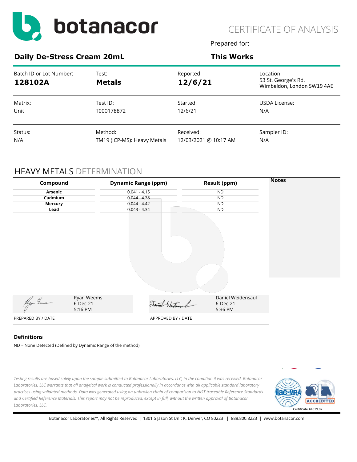

Prepared for:

#### **Daily De-Stress Cream 20mL This Works**

| Batch ID or Lot Number:<br>128102A | Test:<br><b>Metals</b>      | Reported:<br>12/6/21  | Location:<br>53 St. George's Rd.<br>Wimbeldon, London SW19 4AE |
|------------------------------------|-----------------------------|-----------------------|----------------------------------------------------------------|
| Matrix:                            | Test ID:                    | Started:              | USDA License:                                                  |
| Unit                               | T000178872                  | 12/6/21               | N/A                                                            |
| Status:                            | Method:                     | Received:             | Sampler ID:                                                    |
| N/A                                | TM19 (ICP-MS): Heavy Metals | 12/03/2021 @ 10:17 AM | N/A                                                            |

## HEAVY METALS DETERMINATION

| Compound           |                     | <b>Dynamic Range (ppm)</b> | <b>Result (ppm)</b> | <b>Notes</b> |
|--------------------|---------------------|----------------------------|---------------------|--------------|
| Arsenic            |                     | $0.041 - 4.15$             | <b>ND</b>           |              |
| Cadmium            |                     | $0.044 - 4.38$             | <b>ND</b>           |              |
| <b>Mercury</b>     |                     | $0.044 - 4.42$             | <b>ND</b>           |              |
| Lead               |                     | $0.043 - 4.34$             | <b>ND</b>           |              |
|                    |                     |                            |                     |              |
|                    | Ryan Weems          |                            | Daniel Weidensaul   |              |
| Wyom Heuse         | 6-Dec-21<br>5:16 PM | Daniel Westersand          | 6-Dec-21<br>5:36 PM |              |
| PREPARED BY / DATE |                     | APPROVED BY / DATE         |                     |              |

#### **Definitions**

ND = None Detected (Defined by Dynamic Range of the method)

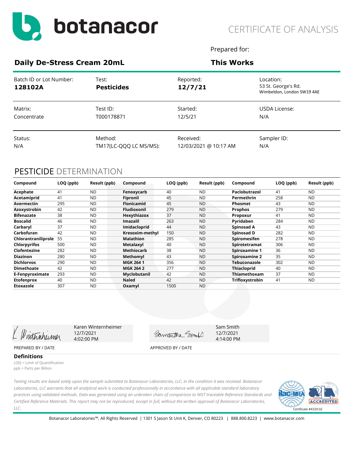

Prepared for:

#### **Daily De-Stress Cream 20mL This Works**

| Batch ID or Lot Number:<br>128102A | Test:<br><b>Pesticides</b> | Reported:<br>12/7/21  | Location:<br>53 St. George's Rd.<br>Wimbeldon, London SW19 4AE |
|------------------------------------|----------------------------|-----------------------|----------------------------------------------------------------|
| Matrix:                            | Test ID:                   | Started:              | USDA License:                                                  |
| Concentrate                        | T000178871                 | 12/5/21               | N/A                                                            |
| Status:                            | Method:                    | Received:             | Sampler ID:                                                    |
| N/A                                | TM17(LC-QQQ LC MS/MS):     | 12/03/2021 @ 10:17 AM | N/A                                                            |

### PESTICIDE DETERMINATION

| Compound            | LOQ (ppb) | Result (ppb) | Compound           | LOQ (ppb) | Result (ppb) | Compound             | LOQ (ppb) | Result (ppb) |
|---------------------|-----------|--------------|--------------------|-----------|--------------|----------------------|-----------|--------------|
| Acephate            | 41        | <b>ND</b>    | Fenoxycarb         | 40        | <b>ND</b>    | Paclobutrazol        | 41        | <b>ND</b>    |
| Acetamiprid         | 41        | <b>ND</b>    | Fipronil           | 45        | <b>ND</b>    | Permethrin           | 258       | <b>ND</b>    |
| Avermectin          | 295       | <b>ND</b>    | <b>Flonicamid</b>  | 45        | <b>ND</b>    | Phosmet              | 43        | <b>ND</b>    |
| Azoxystrobin        | 42        | <b>ND</b>    | <b>Fludioxonil</b> | 279       | <b>ND</b>    | <b>Prophos</b>       | 279       | <b>ND</b>    |
| <b>Bifenazate</b>   | 38        | <b>ND</b>    | Hexythiazox        | 37        | <b>ND</b>    | Propoxur             | 41        | <b>ND</b>    |
| <b>Boscalid</b>     | 46        | <b>ND</b>    | Imazalil           | 263       | <b>ND</b>    | Pyridaben            | 284       | <b>ND</b>    |
| Carbaryl            | 37        | <b>ND</b>    | Imidacloprid       | 44        | <b>ND</b>    | Spinosad A           | 43        | <b>ND</b>    |
| Carbofuran          | 42        | <b>ND</b>    | Kresoxim-methyl    | 150       | <b>ND</b>    | Spinosad D           | 282       | <b>ND</b>    |
| Chlorantraniliprole | 55        | <b>ND</b>    | <b>Malathion</b>   | 285       | <b>ND</b>    | Spiromesifen         | 278       | <b>ND</b>    |
| <b>Chlorpyrifos</b> | 500       | <b>ND</b>    | <b>Metalaxyl</b>   | 40        | <b>ND</b>    | Spirotetramat        | 306       | <b>ND</b>    |
| Clofentezine        | 282       | <b>ND</b>    | Methiocarb         | 38        | <b>ND</b>    | <b>Spiroxamine 1</b> | 36        | <b>ND</b>    |
| <b>Diazinon</b>     | 280       | <b>ND</b>    | Methomyl           | 43        | <b>ND</b>    | Spiroxamine 2        | 35        | <b>ND</b>    |
| <b>Dichlorvos</b>   | 290       | <b>ND</b>    | <b>MGK 2641</b>    | 356       | <b>ND</b>    | Tebuconazole         | 302       | <b>ND</b>    |
| <b>Dimethoate</b>   | 42        | <b>ND</b>    | <b>MGK 264 2</b>   | 277       | <b>ND</b>    | <b>Thiacloprid</b>   | 40        | <b>ND</b>    |
| E-Fenpyroximate     | 293       | <b>ND</b>    | Myclobutanil       | 42        | <b>ND</b>    | Thiamethoxam         | 37        | ND           |
| <b>Etofenprox</b>   | 40        | <b>ND</b>    | <b>Naled</b>       | 42        | <b>ND</b>    | Trifloxystrobin      | 41        | <b>ND</b>    |
| Etoxazole           | 307       | <b>ND</b>    | Oxamyl             | 1500      | <b>ND</b>    |                      |           |              |

Winternheimer

Karen Winternheimer 12/7/2021 4:02:00 PM

Gamantha Smort

Sam Smith 12/7/2021 4:14:00 PM

PREPARED BY / DATE APPROVED BY / DATE

**Definitions** LOQ = Limit of Quantification ppb = Parts per Billion